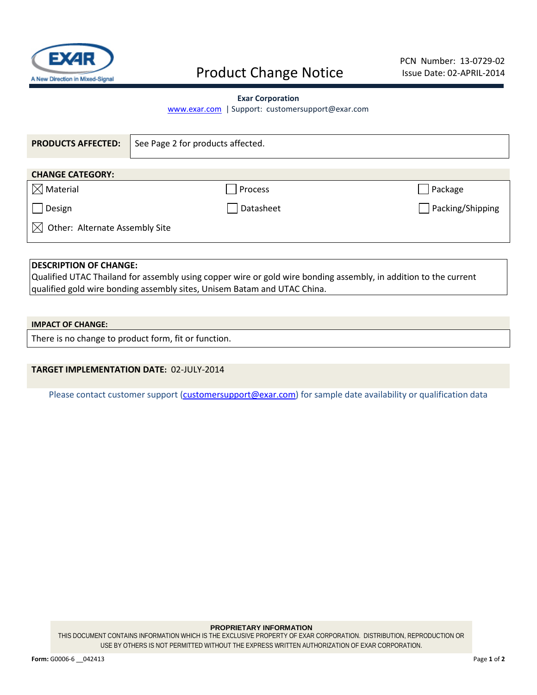

# Product Change Notice

#### **Exar Corporation**

[www.exar.com](http://www.exar.com/) | Support: customersupport@exar.com

| <b>PRODUCTS AFFECTED:</b>             | See Page 2 for products affected. |                                   |  |  |
|---------------------------------------|-----------------------------------|-----------------------------------|--|--|
| <b>CHANGE CATEGORY:</b>               |                                   |                                   |  |  |
| $\boxtimes$ Material                  | Process                           | Package                           |  |  |
| Design                                | Datasheet                         | Packing/Shipping<br>$\mathcal{L}$ |  |  |
| Other: Alternate Assembly Site<br>IXI |                                   |                                   |  |  |
|                                       |                                   |                                   |  |  |

## **DESCRIPTION OF CHANGE:**

Qualified UTAC Thailand for assembly using copper wire or gold wire bonding assembly, in addition to the current qualified gold wire bonding assembly sites, Unisem Batam and UTAC China.

### **IMPACT OF CHANGE:**

There is no change to product form, fit or function.

## **TARGET IMPLEMENTATION DATE:** 02-JULY-2014

Please contact customer support [\(customersupport@exar.com\)](mailto:customersupport@exar.com) for sample date availability or qualification data

#### **PROPRIETARY INFORMATION**

THIS DOCUMENT CONTAINS INFORMATION WHICH IS THE EXCLUSIVE PROPERTY OF EXAR CORPORATION. DISTRIBUTION, REPRODUCTION OR USE BY OTHERS IS NOT PERMITTED WITHOUT THE EXPRESS WRITTEN AUTHORIZATION OF EXAR CORPORATION.